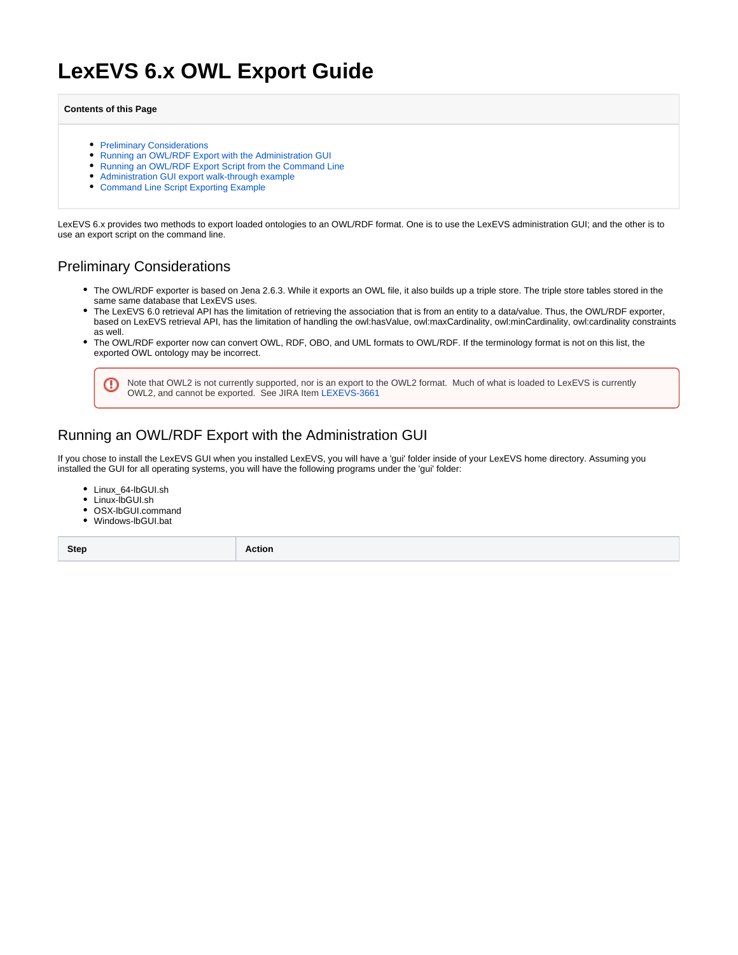# **LexEVS 6.x OWL Export Guide**

#### **Contents of this Page**

- [Preliminary Considerations](#page-0-0)
- [Running an OWL/RDF Export with the Administration GUI](#page-0-1)
- [Running an OWL/RDF Export Script from the Command Line](#page-2-0)
- [Administration GUI export walk-through example](#page-2-1)
- [Command Line Script Exporting Example](#page-7-0)

LexEVS 6.x provides two methods to export loaded ontologies to an OWL/RDF format. One is to use the LexEVS administration GUI; and the other is to use an export script on the command line.

## <span id="page-0-0"></span>Preliminary Considerations

- The OWL/RDF exporter is based on Jena 2.6.3. While it exports an OWL file, it also builds up a triple store. The triple store tables stored in the same same database that LexEVS uses.
- The LexEVS 6.0 retrieval API has the limitation of retrieving the association that is from an entity to a data/value. Thus, the OWL/RDF exporter, based on LexEVS retrieval API, has the limitation of handling the owl:hasValue, owl:maxCardinality, owl:minCardinality, owl:cardinality constraints as well.
- The OWL/RDF exporter now can convert OWL, RDF, OBO, and UML formats to OWL/RDF. If the terminology format is not on this list, the exported OWL ontology may be incorrect.



# <span id="page-0-1"></span>Running an OWL/RDF Export with the Administration GUI

If you chose to install the LexEVS GUI when you installed LexEVS, you will have a 'gui' folder inside of your LexEVS home directory. Assuming you installed the GUI for all operating systems, you will have the following programs under the 'gui' folder:

- Linux\_64-lbGUI.sh
- Linux-lbGUI.sh
- OSX-lbGUI.command
- Windows-lbGUI.bat

**Step <b>Action**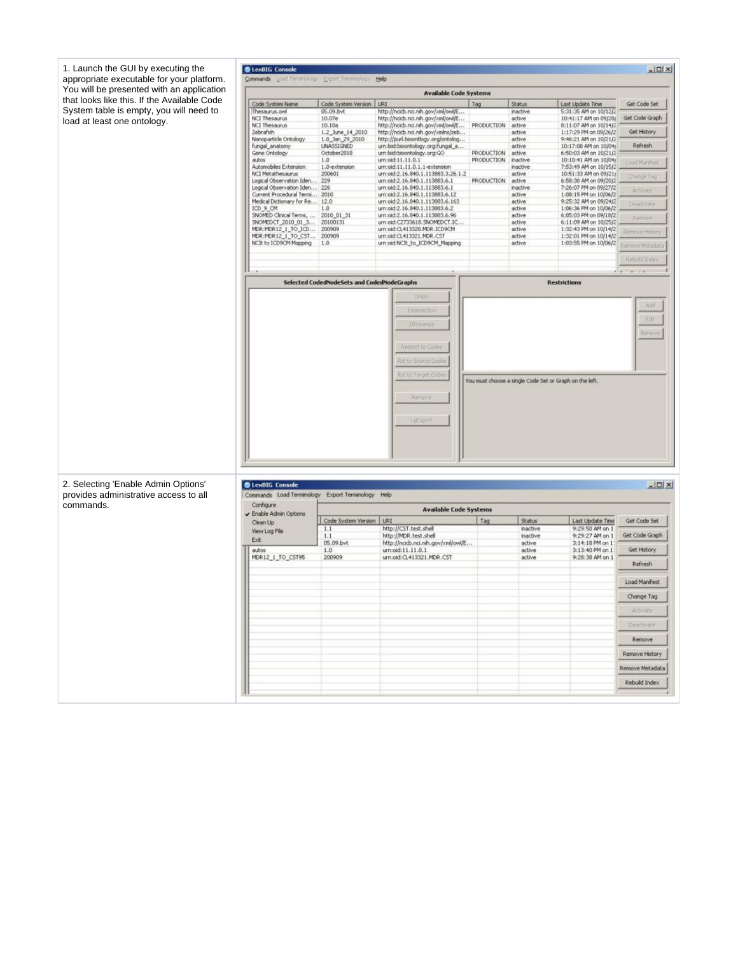| 1. Launch the GUI by executing the<br>appropriate executable for your platform. | <b>CLexBIG Console</b><br>Commands Load Terminology Export Terminology |                                                         | Help                                                                     |                                 |                    |                                                | $ \Box$ $\times$       |  |
|---------------------------------------------------------------------------------|------------------------------------------------------------------------|---------------------------------------------------------|--------------------------------------------------------------------------|---------------------------------|--------------------|------------------------------------------------|------------------------|--|
| You will be presented with an application                                       |                                                                        |                                                         | <b>Available Code Systems</b>                                            |                                 |                    |                                                |                        |  |
| that looks like this. If the Available Code                                     | Code System Name                                                       | Code System Version                                     | URI                                                                      | Tag                             | Status             | Last Update Time                               | Get Code Set           |  |
| System table is empty, you will need to                                         | Thesaurus.ovel                                                         | 05.09.bvt                                               | http://ncicb.nci.nih.gov/xml/owl/E                                       |                                 | inactive           | 5:31:35 AM on 10/12/2                          |                        |  |
| load at least one ontology.                                                     | NCI Thesaurus<br>NCI Thesaurus                                         | 10.07e<br>10.10a                                        | http://ncicb.nci.nih.gov/xml/owl/E<br>http://ncicb.nci.nih.gov/xml/owl/E | PRODUCTION                      | active<br>active   | 10:41:17 AM on 09/20/<br>8:11:07 AM on 10/14/2 | Get Code Graph         |  |
|                                                                                 | Zebrafish                                                              | 1.2_June_14_2010                                        | http://ncicb.nci.nih.gov/xmins/zeb                                       |                                 | active             | 1:17:29 PM on 09/26/2                          | Get History            |  |
|                                                                                 | Nanoparticle Ontology<br>fungal_anatomy                                | 1.0_Jan_29_2010<br><b>UNASSIGNED</b>                    | http://purl.bioontlogy.org/ontolog<br>urn:Isid:bioontology.org:fungal_a  |                                 | active<br>active   | 9:46:21 AM on 10/21/2<br>10:17:08 AM on 10/04/ | Refresh                |  |
|                                                                                 | Gene Ontology<br>autos                                                 | October2010<br>1.0                                      | urn:Isid:bioontology.org:GO<br>urn:oid:11.11.0.1                         | PRODUCTION<br><b>PRODUCTION</b> | active<br>inactive | 6:50:03 AM on 10/21/2<br>10:10:41 AM on 10/04/ |                        |  |
|                                                                                 | Automobiles Extension                                                  | 1.0-extension                                           | urn:oid:11.11.0.1.1-extension                                            |                                 | inactive           | 7:53:49 AM on 10/15/2                          | Load Marifiest         |  |
|                                                                                 | <b>NCI Metathesaurus</b><br>Logical Observation Iden                   | 200601<br>229                                           | urn:oid:2.16.840.1.113883.3.26.1.2<br>um:oid:2.16.840.1.113883.6.1       | PRODUCTION                      | active<br>active   | 10:51:33 AM on 09/21/<br>6:58:30 AM on 09/20/2 | Change Tag             |  |
|                                                                                 | Logical Observation Iden 226                                           |                                                         | urn:oid:2.16.840.1.113883.6.1                                            |                                 | inactive           | 7:26:07 PM on 09/27/2                          | Advate                 |  |
|                                                                                 | Current Procedural Termi 2010<br>Medical Dictionary for Re             | 12.0                                                    | urn:oid:2.16.840.1.113883.6.12<br>um:oid:2.16.840.1.113883.6.163         |                                 | active<br>active   | 1:08:15 PM on 10/06/2<br>9:25:32 AM on 09/24/2 | Deathrate              |  |
|                                                                                 | ICD 9_CM<br>SNOMED Clinical Terms,                                     | 1.0<br>2010_01_31                                       | urn:old:2.16.840.1.113883.6.2<br>urn:oid:2.16.840.1.113883.6.96          |                                 | active<br>active   | 1:06:36 PM on 10/06/2<br>6:05:03 PM on 09/18/2 |                        |  |
|                                                                                 | SNOMEDCT_2010_01_3                                                     | 20100131                                                | urn:oid:C2733618.SNOMEDCT.IC.                                            |                                 | active             | 6:11:09 AM on 10/25/2                          | Remove                 |  |
|                                                                                 | MDR:MDR12_1_TO_ICD<br>MDR:MDR12_1_TO_CST                               | 200909<br>200909                                        | urn:oid:CL413320.MDR.ICD9CM<br>urn:oid:CL413321.MDR.CST                  |                                 | active<br>active   | 1:32:43 PM on 10/14/2<br>1:32:01 PM on 10/14/2 | Remové History         |  |
|                                                                                 | NCIt to ICD9CM Mapping                                                 | 1.0                                                     | urn:oid:NCIt_to_ICD9CM_Mapping                                           |                                 | active             | 1:03:55 PM on 10/06/2                          | <b>Remove Metadata</b> |  |
|                                                                                 |                                                                        |                                                         |                                                                          |                                 |                    |                                                | Rebuild Index          |  |
|                                                                                 |                                                                        |                                                         |                                                                          |                                 |                    |                                                | $11 - 11$              |  |
|                                                                                 |                                                                        | Selected CodedNodeSets and CodedNodeGraphs              |                                                                          |                                 |                    | <b>Restrictions</b>                            |                        |  |
|                                                                                 |                                                                        |                                                         |                                                                          |                                 |                    |                                                |                        |  |
|                                                                                 |                                                                        |                                                         | Linion                                                                   |                                 |                    |                                                | Add.                   |  |
|                                                                                 |                                                                        |                                                         | Intersection                                                             |                                 |                    |                                                | Edit                   |  |
|                                                                                 |                                                                        |                                                         | Difference                                                               |                                 |                    |                                                |                        |  |
|                                                                                 |                                                                        |                                                         |                                                                          |                                 |                    |                                                | Remove                 |  |
|                                                                                 |                                                                        |                                                         | Restrict to Codes                                                        |                                 |                    |                                                |                        |  |
|                                                                                 |                                                                        |                                                         | Ast to Source Codes                                                      |                                 |                    |                                                |                        |  |
|                                                                                 |                                                                        |                                                         | <b>Rst to Target Codes</b>                                               |                                 |                    |                                                |                        |  |
|                                                                                 |                                                                        | You must choose a single Code Set or Graph on the left. |                                                                          |                                 |                    |                                                |                        |  |
|                                                                                 | Rémove                                                                 |                                                         |                                                                          |                                 |                    |                                                |                        |  |
|                                                                                 |                                                                        |                                                         |                                                                          |                                 |                    |                                                |                        |  |
|                                                                                 |                                                                        |                                                         | LaExport                                                                 |                                 |                    |                                                |                        |  |
|                                                                                 |                                                                        |                                                         |                                                                          |                                 |                    |                                                |                        |  |
|                                                                                 |                                                                        |                                                         |                                                                          |                                 |                    |                                                |                        |  |
|                                                                                 |                                                                        |                                                         |                                                                          |                                 |                    |                                                |                        |  |
|                                                                                 |                                                                        |                                                         |                                                                          |                                 |                    |                                                |                        |  |
| 2. Selecting 'Enable Admin Options'                                             | <b>OLEXBIG Console</b>                                                 |                                                         |                                                                          |                                 |                    |                                                |                        |  |
| provides administrative access to all                                           | Commands Load Terminology Export Terminology Help                      |                                                         |                                                                          |                                 |                    |                                                | $ \Box$ $\times$       |  |
| commands.                                                                       | Configure                                                              |                                                         | <b>Available Code Systems</b>                                            |                                 |                    |                                                |                        |  |
|                                                                                 | Enable Admin Options                                                   | Code System Version   URI                               |                                                                          | Tag                             | <b>Status</b>      | Last Update Time                               | Get Code Set           |  |
|                                                                                 | Clean Up<br>View Log File                                              | 1.1                                                     | http://CST.test.shell                                                    |                                 | inactive           | 9:29:50 AM on 1                                |                        |  |
|                                                                                 | Ext                                                                    | 1.1                                                     | http://MDR.test.shell                                                    |                                 | inactive           | 9:29:27 AM on 1                                | Get Code Graph         |  |
|                                                                                 | autos                                                                  | 05.09.bvt<br>1.0                                        | http://ncicb.nci.nih.gov/xml/owl/E<br>urn:oid:11.11.0.1                  |                                 | active<br>active   | 3:14:18 PM on 1<br>3:13:40 PM on 1             | Get History            |  |
|                                                                                 | MDR12_1_TO_CST95                                                       | 200909                                                  | urn:oid:CL413321.MDR.CST                                                 |                                 | active             | 9:28:38 AM on 1                                | Refresh                |  |
|                                                                                 |                                                                        |                                                         |                                                                          |                                 |                    |                                                |                        |  |
|                                                                                 |                                                                        |                                                         |                                                                          |                                 |                    |                                                | Load Manifest          |  |
|                                                                                 |                                                                        |                                                         |                                                                          |                                 |                    |                                                | Change Tag             |  |
|                                                                                 |                                                                        |                                                         |                                                                          |                                 |                    |                                                | Activate               |  |
|                                                                                 |                                                                        |                                                         |                                                                          |                                 |                    |                                                |                        |  |
|                                                                                 |                                                                        |                                                         |                                                                          |                                 |                    |                                                | Deactivate             |  |
|                                                                                 |                                                                        |                                                         |                                                                          |                                 |                    |                                                | Remove                 |  |
|                                                                                 |                                                                        |                                                         |                                                                          |                                 |                    |                                                | Remove History         |  |
|                                                                                 |                                                                        |                                                         |                                                                          |                                 |                    |                                                | Remove Metadata        |  |
|                                                                                 |                                                                        |                                                         |                                                                          |                                 |                    |                                                | Rebuild Index          |  |
|                                                                                 |                                                                        |                                                         |                                                                          |                                 |                    |                                                |                        |  |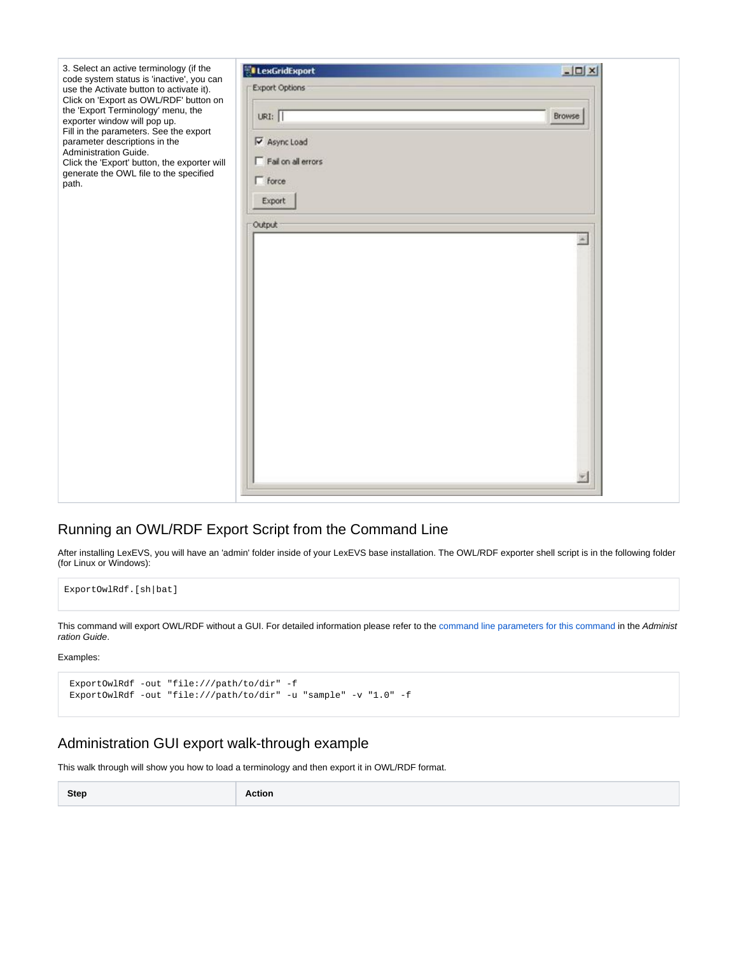

## <span id="page-2-0"></span>Running an OWL/RDF Export Script from the Command Line

After installing LexEVS, you will have an 'admin' folder inside of your LexEVS base installation. The OWL/RDF exporter shell script is in the following folder (for Linux or Windows):

ExportOwlRdf.[sh|bat]

This command will export OWL/RDF without a GUI. For detailed information please refer to the [command line parameters for this command](https://wiki.nci.nih.gov/display/LexEVS/2+-+Administering+LexEVS+6.0+with+the+Command+Line#id-2AdministeringLexEVS6.0withtheCommandLine-LexEVSExportScripts) in the Administ ration Guide.

Examples:

```
 ExportOwlRdf -out "file:///path/to/dir" -f
ExportOwlRdf -out "file:///path/to/dir" -u "sample" -v "1.0" -f
```
#### <span id="page-2-1"></span>Administration GUI export walk-through example

This walk through will show you how to load a terminology and then export it in OWL/RDF format.

| Step | Action |
|------|--------|
|------|--------|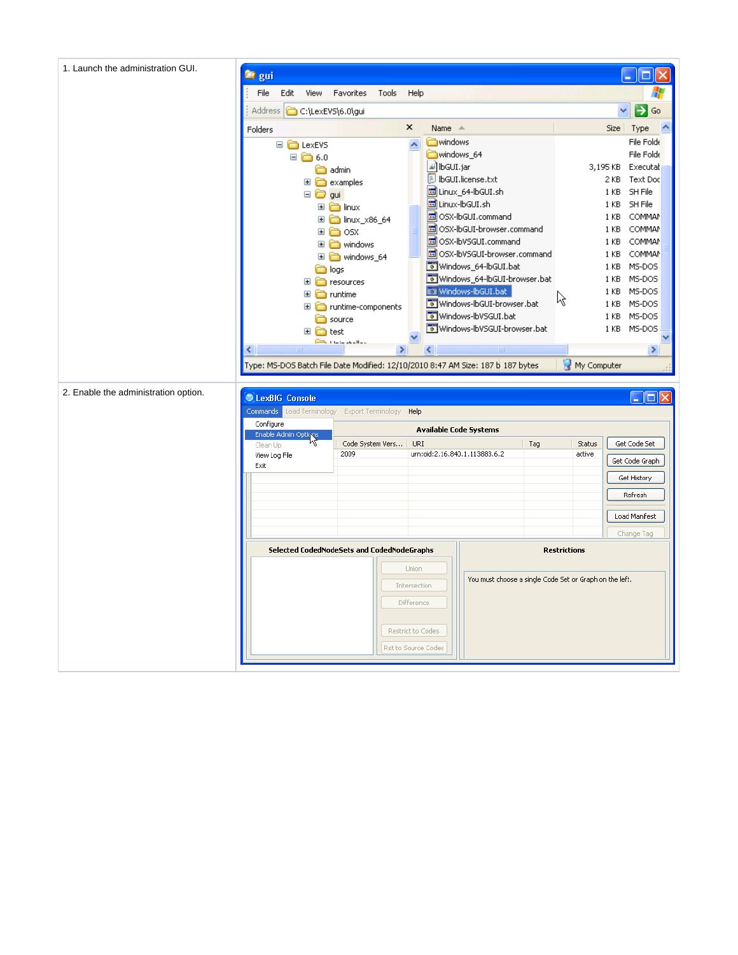| 1. Launch the administration GUI.    | <sup>n</sup> gui                                                                |                                     |               |                                     |                                                         |     |                     |                       |
|--------------------------------------|---------------------------------------------------------------------------------|-------------------------------------|---------------|-------------------------------------|---------------------------------------------------------|-----|---------------------|-----------------------|
|                                      | File<br>Edit<br>View                                                            | Favorites                           | Tools         | Help                                |                                                         |     |                     |                       |
|                                      | <b>Address</b><br>C:\LexEVS\6.0\gui                                             |                                     |               |                                     |                                                         |     |                     | →<br>Go               |
|                                      | Folders                                                                         |                                     |               | ×<br>Name $\triangleq$              |                                                         |     |                     | ٨<br>Size Type        |
|                                      | □ □ LexEVS                                                                      |                                     |               | windows<br>$\overline{\phantom{a}}$ |                                                         |     |                     | File Folde            |
|                                      | $\Box$ $\Box$ 6.0                                                               |                                     |               | windows_64                          |                                                         |     |                     | File Folde            |
|                                      |                                                                                 | admin                               |               | l≝] lbGUI.jar                       |                                                         |     | 3,195 KB            | Executal              |
|                                      |                                                                                 | <b>□ □</b> examples                 |               |                                     | <b>D</b> IbGUI.license.txt                              |     |                     | Text Doc<br>2 KB      |
|                                      | $\Box$ $\bigodot$ gui                                                           |                                     |               |                                     | hol Linux_64-lbGUI.sh                                   |     |                     | 1 KB SH File          |
|                                      |                                                                                 | $\blacksquare$ $\blacksquare$ linux |               |                                     | 圆 Linux-lbGUI.sh<br>圆 OSX-lbGUI.command                 |     |                     | SH File<br>1 KB       |
|                                      |                                                                                 | <b>El a</b> linux_x86_64            |               |                                     | 圆 OSX-lbGUI-browser.command                             |     | 1 KB                | 1 KB COMMAN<br>COMMAN |
|                                      |                                                                                 | ⊞ m⊟osx                             |               |                                     | 圆 OSX-lbVSGUI.command                                   |     | 1 <sub>KB</sub>     | <b>COMMAN</b>         |
|                                      |                                                                                 | El a windows                        |               |                                     | 圆 OSX-lbVSGUI-browser.command                           |     | 1 KB                | COMMAN                |
|                                      |                                                                                 | $\Box$ windows_64                   |               |                                     | Windows_64-lbGUI.bat                                    |     | 1 KB                | MS-DOS                |
|                                      |                                                                                 | a logs<br>$\Box$ resources          |               |                                     | Windows_64-lbGUI-browser.bat                            |     |                     | MS-DOS<br>1 KB        |
|                                      | $\mathbf \Xi$                                                                   | runtime                             |               |                                     | Windows-IbGUI.bat                                       |     |                     | MS-DOS<br>1 KB        |
|                                      | $\mathbf{H}$                                                                    | runtime-components                  |               |                                     | Windows-IbGUI-browser.bat                               |     | R                   | 1 KB<br>MS-DOS        |
|                                      |                                                                                 | source                              |               |                                     | Windows-IbVSGUI.bat                                     |     |                     | MS-DOS<br>1 KB        |
|                                      | $\blacksquare$                                                                  | test                                |               |                                     | Windows-IbVSGUI-browser.bat                             |     |                     | 1 KB MS-DOS           |
|                                      |                                                                                 | <b>Part in the start from</b>       |               |                                     |                                                         |     |                     |                       |
|                                      | ∢<br>$\mathbf{m}$                                                               |                                     | $\rightarrow$ | ∢                                   | $\parallel$ IIII                                        |     |                     | $\rightarrow$         |
|                                      | Type: MS-DOS Batch File Date Modified: 12/10/2010 8:47 AM Size: 187 b 187 bytes |                                     |               |                                     |                                                         |     | My Computer         |                       |
|                                      |                                                                                 |                                     |               |                                     |                                                         |     |                     |                       |
| 2. Enable the administration option. | LexBIG Console                                                                  |                                     |               |                                     |                                                         |     |                     | $\Box$ ok             |
|                                      | <b>Commands</b> Load Terminology Export Terminology Help                        |                                     |               |                                     |                                                         |     |                     |                       |
|                                      | Configure                                                                       |                                     |               |                                     |                                                         |     |                     |                       |
|                                      | Enable Admin Options                                                            |                                     |               |                                     | <b>Available Code Systems</b>                           |     |                     |                       |
|                                      | Clean Up                                                                        | Code System Vers                    |               | URI                                 |                                                         | Tag | Status              | Get Code Set          |
|                                      | View Log File                                                                   | 2009                                |               |                                     | urn:oid:2.16.840.1.113883.6.2                           |     | active              | Get Code Graph        |
|                                      | Exit                                                                            |                                     |               |                                     |                                                         |     |                     |                       |
|                                      |                                                                                 |                                     |               |                                     |                                                         |     |                     | Get History           |
|                                      |                                                                                 |                                     |               |                                     |                                                         |     |                     | Refresh               |
|                                      |                                                                                 |                                     |               |                                     |                                                         |     |                     | Load Manifest         |
|                                      |                                                                                 |                                     |               |                                     |                                                         |     |                     |                       |
|                                      |                                                                                 |                                     |               |                                     |                                                         |     |                     | Change Tag            |
|                                      | Selected CodedNodeSets and CodedNodeGraphs                                      |                                     |               |                                     |                                                         |     | <b>Restrictions</b> |                       |
|                                      |                                                                                 |                                     |               | Union                               |                                                         |     |                     |                       |
|                                      |                                                                                 |                                     |               | Intersection                        | You must choose a single Code Set or Graph on the left. |     |                     |                       |
|                                      |                                                                                 |                                     |               | Difference                          |                                                         |     |                     |                       |
|                                      |                                                                                 |                                     |               |                                     |                                                         |     |                     |                       |
|                                      |                                                                                 |                                     |               | Restrict to Codes                   |                                                         |     |                     |                       |
|                                      |                                                                                 |                                     |               | Rst to Source Codes                 |                                                         |     |                     |                       |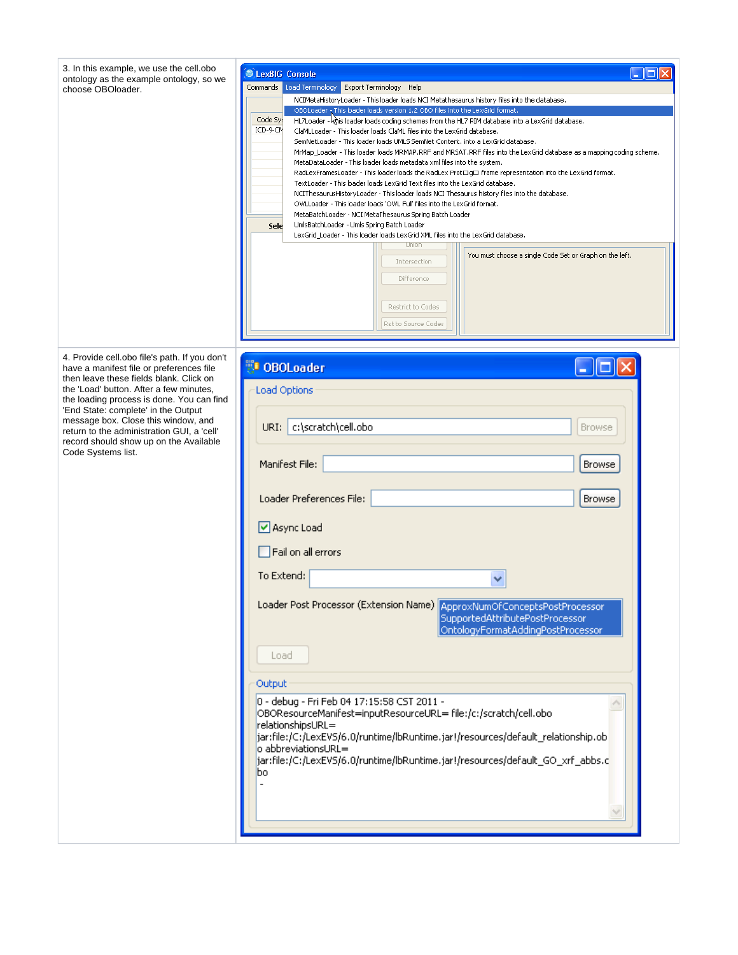| 3. In this example, we use the cell.obo<br>$\blacksquare$ $\blacksquare$<br>LexBIG Console                                                                                  |  |
|-----------------------------------------------------------------------------------------------------------------------------------------------------------------------------|--|
| ontology as the example ontology, so we                                                                                                                                     |  |
| Load Terminology Export Terminology Help<br>Commands<br>choose OBOloader.                                                                                                   |  |
| NCIMetaHistoryLoader - This loader loads NCI Metathesaurus history files into the database.<br>OBOLoader - This loader loads version 1.2 OBO files into the LexGrid format. |  |
| Code Sy:<br>HL7Loader - wis loader loads coding schemes from the HL7 RIM database into a LexGrid database.                                                                  |  |
| ICD-9-CM<br>ClaMLLoader - This loader loads ClaML files into the LexGrid database.                                                                                          |  |
| SemNetLoader - This loader loads UMLS SemNet Content, into a LexGrid database,                                                                                              |  |
| MrMap_Loader - This loader loads MRMAP.RRF and MRSAT.RRF files into the LexGrid database as a mapping coding scheme.                                                        |  |
| MetaDataLoader - This loader loads metadata xml files into the system.                                                                                                      |  |
| RadLexFramesLoader - This loader loads the RadLex Prot□g□ frame representation into the LexGrid format.                                                                     |  |
| TextLoader - This loader loads LexGrid Text files into the LexGrid database.                                                                                                |  |
| NCIThesaurusHistoryLoader - This loader loads NCI Thesaurus history files into the database.<br>OWLLoader - This loader loads 'OWL Full' files into the LexGrid format.     |  |
| MetaBatchLoader - NCI MetaThesaurus Spring Batch Loader                                                                                                                     |  |
| UmisBatchLoader - Umis Spring Batch Loader<br>Sele                                                                                                                          |  |
| LexGrid_Loader - This loader loads LexGrid XML files into the LexGrid database.                                                                                             |  |
| Union                                                                                                                                                                       |  |
| You must choose a single Code Set or Graph on the left.<br>Intersection                                                                                                     |  |
|                                                                                                                                                                             |  |
| <b>Difference</b>                                                                                                                                                           |  |
|                                                                                                                                                                             |  |
| Restrict to Codes                                                                                                                                                           |  |
| Rst to Source Codes                                                                                                                                                         |  |
|                                                                                                                                                                             |  |
|                                                                                                                                                                             |  |
| 4. Provide cell obo file's path. If you don't                                                                                                                               |  |
| <b>N</b> OBOLoader<br>have a manifest file or preferences file                                                                                                              |  |
| then leave these fields blank. Click on                                                                                                                                     |  |
| the 'Load' button. After a few minutes,<br><b>Load Options</b>                                                                                                              |  |
| the loading process is done. You can find                                                                                                                                   |  |
| 'End State: complete' in the Output<br>message box. Close this window, and                                                                                                  |  |
| URI: c:\scratch\cell.obo<br><b>Browse</b><br>return to the administration GUI, a 'cell'                                                                                     |  |
| record should show up on the Available                                                                                                                                      |  |
| Code Systems list.                                                                                                                                                          |  |
| Manifest File:<br>Browse                                                                                                                                                    |  |
|                                                                                                                                                                             |  |
|                                                                                                                                                                             |  |
| Loader Preferences File:<br><b>Browse</b>                                                                                                                                   |  |
|                                                                                                                                                                             |  |
| Async Load                                                                                                                                                                  |  |
|                                                                                                                                                                             |  |
| $\Box$ Fail on all errors                                                                                                                                                   |  |
|                                                                                                                                                                             |  |
| To Extend:                                                                                                                                                                  |  |
|                                                                                                                                                                             |  |
| Loader Post Processor (Extension Name) ApproxNumOfConceptsPostProcessor                                                                                                     |  |
| SupportedAttributePostProcessor                                                                                                                                             |  |
| OntologyFormatAddingPostProcessor                                                                                                                                           |  |
|                                                                                                                                                                             |  |
| Load                                                                                                                                                                        |  |
|                                                                                                                                                                             |  |
|                                                                                                                                                                             |  |
| Output                                                                                                                                                                      |  |
| 0 - debug - Fri Feb 04 17:15:58 CST 2011 -                                                                                                                                  |  |
| OBOResourceManifest=inputResourceURL= file:/c:/scratch/cell.obo                                                                                                             |  |
| relationshipsURL=                                                                                                                                                           |  |
| jar:file:/C:/LexEVS/6.0/runtime/lbRuntime.jar!/resources/default_relationship.ob                                                                                            |  |
| o abbreviationsURL=                                                                                                                                                         |  |
|                                                                                                                                                                             |  |
|                                                                                                                                                                             |  |
| jar:file:/C:/LexEVS/6.0/runtime/lbRuntime.jar!/resources/default_GO_xrf_abbs.c<br>bo                                                                                        |  |
|                                                                                                                                                                             |  |
|                                                                                                                                                                             |  |
|                                                                                                                                                                             |  |
|                                                                                                                                                                             |  |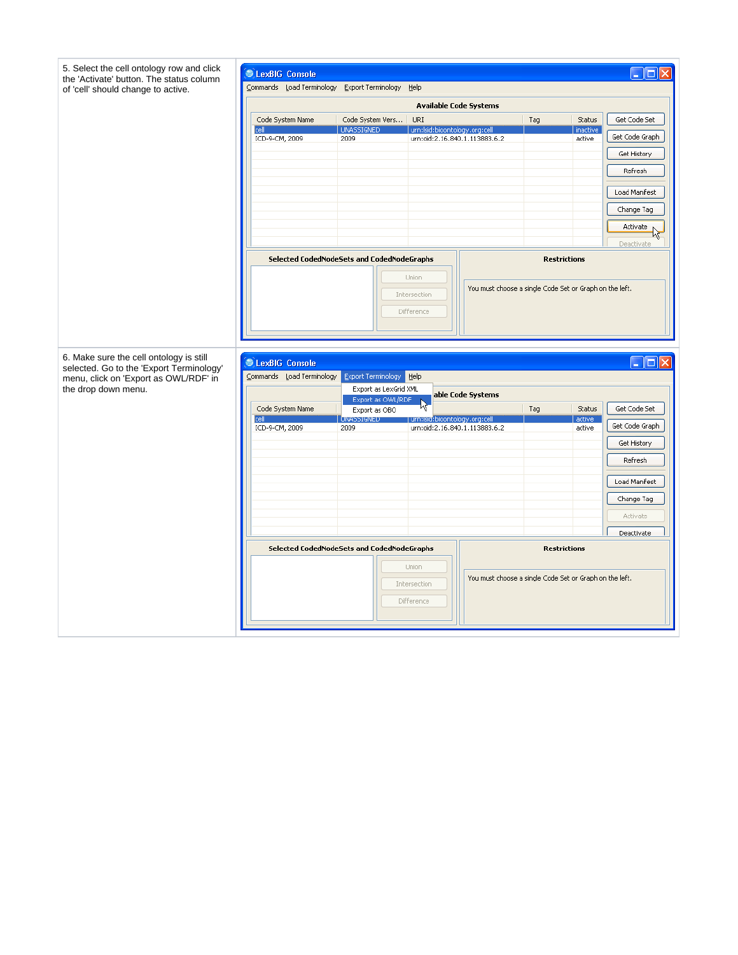|                                                                                     | C LexBIG Console                                  |                                            |                               |                                                         |     |                     | $\Box$ ok      |
|-------------------------------------------------------------------------------------|---------------------------------------------------|--------------------------------------------|-------------------------------|---------------------------------------------------------|-----|---------------------|----------------|
| the 'Activate' button. The status column<br>of 'cell' should change to active.      | Commands Load Terminology Export Terminology Help |                                            |                               |                                                         |     |                     |                |
|                                                                                     |                                                   |                                            |                               | <b>Available Code Systems</b>                           |     |                     |                |
|                                                                                     | Code System Name                                  | Code System Vers                           | URI                           |                                                         | Tag | Status              | Get Code Set   |
|                                                                                     | cell<br>ICD-9-CM, 2009                            | UNASSIGNED<br>2009                         | urn:Isid:bioontology.org:cell | urn:oid:2.16.840.1.113883.6.2                           |     | inactive<br>active  | Get Code Graph |
|                                                                                     |                                                   |                                            |                               |                                                         |     |                     | Get History    |
|                                                                                     |                                                   |                                            |                               |                                                         |     |                     | Refresh        |
|                                                                                     |                                                   |                                            |                               |                                                         |     |                     | Load Manifest  |
|                                                                                     |                                                   |                                            |                               |                                                         |     |                     | Change Tag     |
|                                                                                     |                                                   |                                            |                               |                                                         |     |                     | Activate<br>kř |
|                                                                                     |                                                   |                                            |                               |                                                         |     |                     | Deactivate     |
|                                                                                     |                                                   | Selected CodedNodeSets and CodedNodeGraphs |                               |                                                         |     | <b>Restrictions</b> |                |
|                                                                                     |                                                   |                                            | Union<br>Intersection         | You must choose a single Code Set or Graph on the left. |     |                     |                |
|                                                                                     |                                                   |                                            | Difference                    |                                                         |     |                     |                |
|                                                                                     |                                                   |                                            |                               |                                                         |     |                     |                |
|                                                                                     |                                                   |                                            |                               |                                                         |     |                     |                |
| 6. Make sure the cell ontology is still<br>selected. Go to the 'Export Terminology' | C LexBIG Console                                  |                                            |                               |                                                         |     |                     | $\Box$ ok      |
| menu, click on 'Export as OWL/RDF' in<br>the drop down menu.                        | Commands Load Terminology Export Terminology Help |                                            |                               |                                                         |     |                     |                |
|                                                                                     |                                                   |                                            |                               |                                                         |     |                     |                |
|                                                                                     |                                                   | Export as LexGrid XML<br>Export as OWL/RDF |                               | able Code Systems                                       |     |                     |                |
|                                                                                     | Code System Name<br>cell                          | Export as OBO<br><b>JNASSIGNED</b>         | urn:Isid:bioontology.org:cell |                                                         | Tag | Status<br>active    | Get Code Set   |
|                                                                                     | ICD-9-CM, 2009                                    | 2009                                       |                               | urn:oid:2.16.840.1.113883.6.2                           |     | active              | Get Code Graph |
|                                                                                     |                                                   |                                            |                               |                                                         |     |                     | Get History    |
|                                                                                     |                                                   |                                            |                               |                                                         |     |                     | Refresh        |
|                                                                                     |                                                   |                                            |                               |                                                         |     |                     | Load Manifest  |
|                                                                                     |                                                   |                                            |                               |                                                         |     |                     | Change Tag     |
|                                                                                     |                                                   |                                            |                               |                                                         |     |                     | Activate       |
|                                                                                     |                                                   |                                            |                               |                                                         |     |                     | Deactivate     |
|                                                                                     |                                                   | Selected CodedNodeSets and CodedNodeGraphs |                               |                                                         |     | <b>Restrictions</b> |                |
|                                                                                     |                                                   |                                            | Union                         | You must choose a single Code Set or Graph on the left. |     |                     |                |
|                                                                                     |                                                   |                                            | Intersection                  |                                                         |     |                     |                |
|                                                                                     |                                                   |                                            | Difference                    |                                                         |     |                     |                |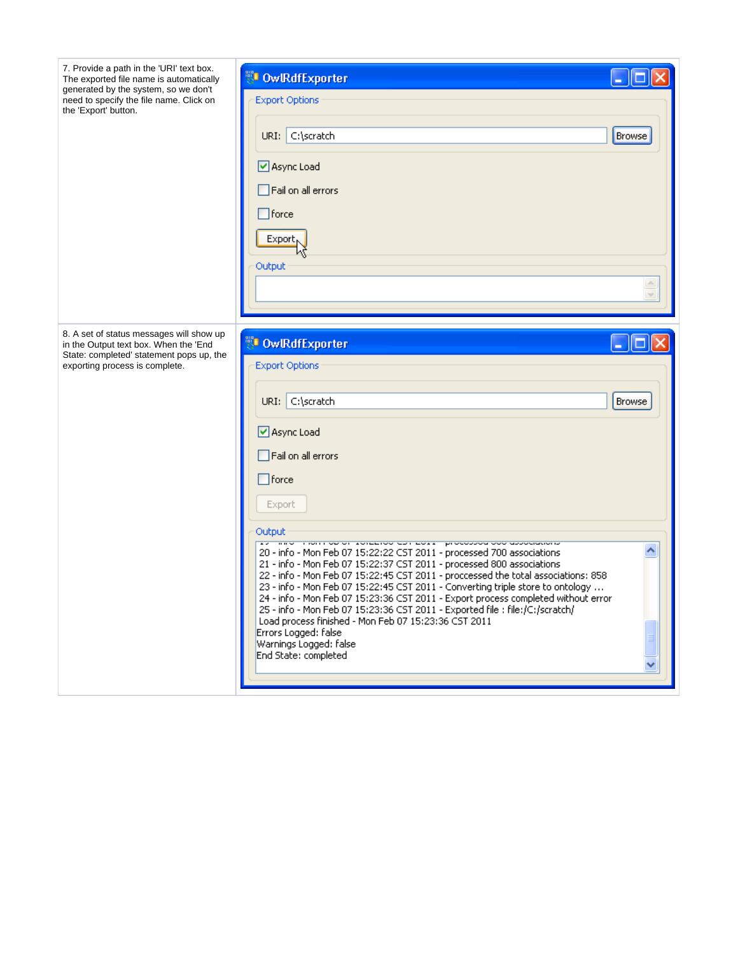| 7. Provide a path in the 'URI' text box.<br>The exported file name is automatically<br>generated by the system, so we don't<br>need to specify the file name. Click on<br>the 'Export' button. | <b>DowlRdfExporter</b><br><b>Export Options</b><br>URI: C:\scratch<br>Browse<br>☑ Async Load<br>Fail on all errors<br>$\Box$ force<br>Export <sub>N</sub><br>Output                                                                                                                                                                                                                                                                                                                                                                                                                                                                                                                                                                                                                                                                                                                  |
|------------------------------------------------------------------------------------------------------------------------------------------------------------------------------------------------|--------------------------------------------------------------------------------------------------------------------------------------------------------------------------------------------------------------------------------------------------------------------------------------------------------------------------------------------------------------------------------------------------------------------------------------------------------------------------------------------------------------------------------------------------------------------------------------------------------------------------------------------------------------------------------------------------------------------------------------------------------------------------------------------------------------------------------------------------------------------------------------|
| 8. A set of status messages will show up<br>in the Output text box. When the 'End<br>State: completed' statement pops up, the<br>exporting process is complete.                                | <b>DowlRdfExporter</b><br><b>Export Options</b><br>URI: C:\scratch<br><b>Browse</b><br>☑ Async Load<br>$\Box$ Fail on all errors<br>$\Box$ force<br>Export<br>Output<br>and monitorally relation and about processed operationally<br>$\overline{1}$<br>20 - info - Mon Feb 07 15:22:22 CST 2011 - processed 700 associations<br>21 - info - Mon Feb 07 15:22:37 CST 2011 - processed 800 associations<br>22 - info - Mon Feb 07 15:22:45 CST 2011 - proccessed the total associations: 858<br>23 - info - Mon Feb 07 15:22:45 CST 2011 - Converting triple store to ontology<br>24 - info - Mon Feb 07 15:23:36 CST 2011 - Export process completed without error<br>25 - info - Mon Feb 07 15:23:36 CST 2011 - Exported file : file:/C:/scratch/<br>Load process finished - Mon Feb 07 15:23:36 CST 2011<br>Errors Logged: false<br>Warnings Logged: false<br>End State: completed |